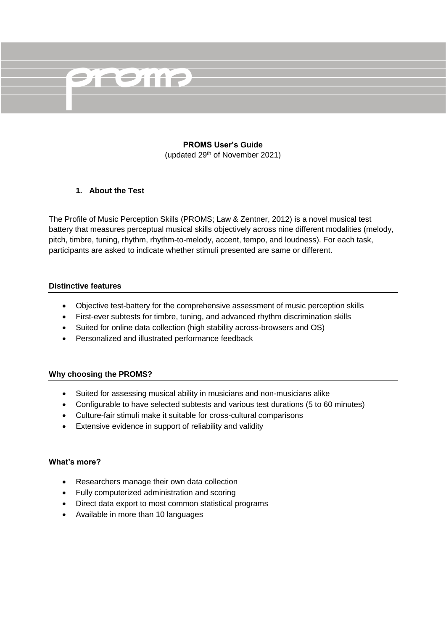

### **PROMS User's Guide** (updated 29th of November 2021)

### **1. About the Test**

The Profile of Music Perception Skills (PROMS; Law & Zentner, 2012) is a novel musical test battery that measures perceptual musical skills objectively across nine different modalities (melody, pitch, timbre, tuning, rhythm, rhythm-to-melody, accent, tempo, and loudness). For each task, participants are asked to indicate whether stimuli presented are same or different.

#### **Distinctive features**

- Objective test-battery for the comprehensive assessment of music perception skills
- First-ever subtests for timbre, tuning, and advanced rhythm discrimination skills
- Suited for online data collection (high stability across-browsers and OS)
- Personalized and illustrated performance feedback

#### **Why choosing the PROMS?**

- Suited for assessing musical ability in musicians and non-musicians alike
- Configurable to have selected subtests and various test durations (5 to 60 minutes)
- Culture-fair stimuli make it suitable for cross-cultural comparisons
- Extensive evidence in support of reliability and validity

#### **What's more?**

- Researchers manage their own data collection
- Fully computerized administration and scoring
- Direct data export to most common statistical programs
- Available in more than 10 languages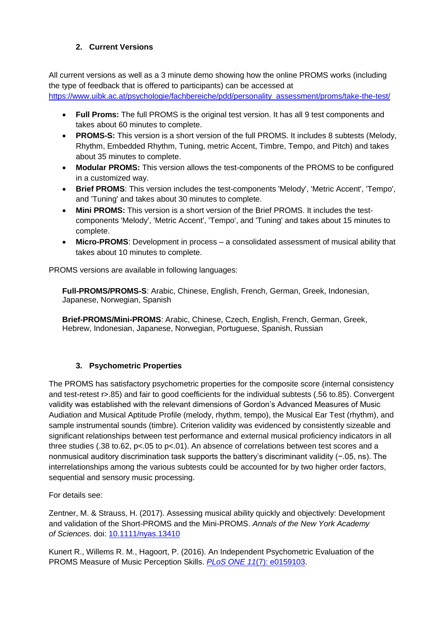# **2. Current Versions**

All current versions as well as a 3 minute demo showing how the online PROMS works (including the type of feedback that is offered to participants) can be accessed at

[https://www.uibk.ac.at/psychologie/fachbereiche/pdd/personality\\_assessment/proms/take-the-test/](https://www.uibk.ac.at/psychologie/fachbereiche/pdd/personality_assessment/proms/take-the-test/)

- **Full Proms:** The full PROMS is the original test version. It has all 9 test components and takes about 60 minutes to complete.
- **PROMS-S:** This version is a short version of the full PROMS. It includes 8 subtests (Melody, Rhythm, Embedded Rhythm, Tuning, metric Accent, Timbre, Tempo, and Pitch) and takes about 35 minutes to complete.
- **Modular PROMS:** This version allows the test-components of the PROMS to be configured in a customized way.
- **Brief PROMS**: This version includes the test-components 'Melody', 'Metric Accent', 'Tempo', and 'Tuning' and takes about 30 minutes to complete.
- **Mini PROMS:** This version is a short version of the Brief PROMS. It includes the testcomponents 'Melody', 'Metric Accent', 'Tempo', and 'Tuning' and takes about 15 minutes to complete.
- **Micro-PROMS**: Development in process a consolidated assessment of musical ability that takes about 10 minutes to complete.

PROMS versions are available in following languages:

**Full-PROMS/PROMS-S**: Arabic, Chinese, English, French, German, Greek, Indonesian, Japanese, Norwegian, Spanish

**Brief-PROMS/Mini-PROMS**: Arabic, Chinese, Czech, English, French, German, Greek, Hebrew, Indonesian, Japanese, Norwegian, Portuguese, Spanish, Russian

## **3. Psychometric Properties**

The PROMS has satisfactory psychometric properties for the composite score (internal consistency and test-retest r>.85) and fair to good coefficients for the individual subtests (.56 to.85). Convergent validity was established with the relevant dimensions of Gordon's Advanced Measures of Music Audiation and Musical Aptitude Profile (melody, rhythm, tempo), the Musical Ear Test (rhythm), and sample instrumental sounds (timbre). Criterion validity was evidenced by consistently sizeable and significant relationships between test performance and external musical proficiency indicators in all three studies (.38 to.62,  $p$ <.05 to  $p$ <.01). An absence of correlations between test scores and a nonmusical auditory discrimination task supports the battery's discriminant validity (−.05, ns). The interrelationships among the various subtests could be accounted for by two higher order factors, sequential and sensory music processing.

For details see:

Zentner, M. & Strauss, H. (2017). Assessing musical ability quickly and objectively: Development and validation of the Short-PROMS and the Mini-PROMS. *Annals of the New York Academy of Sciences*. doi: [10.1111/nyas.13410](http://onlinelibrary.wiley.com/doi/10.1111/nyas.13410/full)

Kunert R., Willems R. M., Hagoort, P. (2016). An Independent Psychometric Evaluation of the PROMS Measure of Music Perception Skills. *PLoS ONE 11*[\(7\): e0159103.](http://journals.plos.org/plosone/article?id=10.1371/journal.pone.0159103)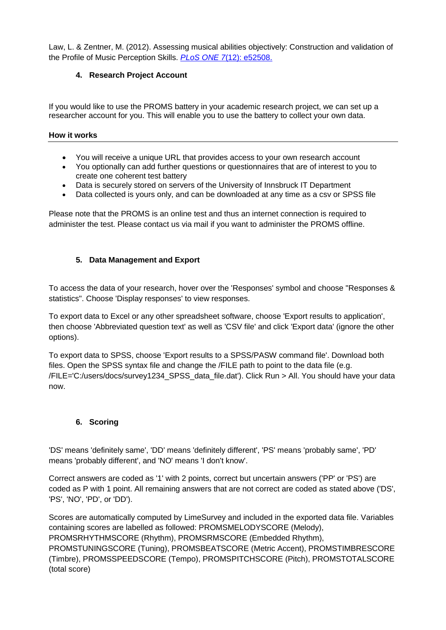Law, L. & Zentner, M. (2012). Assessing musical abilities objectively: Construction and validation of the Profile of Music Perception Skills. *PLoS ONE 7*[\(12\): e52508.](http://dx.plos.org/10.1371/journal.pone.0052508) 

# **4. Research Project Account**

If you would like to use the PROMS battery in your academic research project, we can set up a researcher account for you. This will enable you to use the battery to collect your own data.

### **How it works**

- You will receive a unique URL that provides access to your own research account
- You optionally can add further questions or questionnaires that are of interest to you to create one coherent test battery
- Data is securely stored on servers of the University of Innsbruck IT Department
- Data collected is yours only, and can be downloaded at any time as a csy or SPSS file

Please note that the PROMS is an online test and thus an internet connection is required to administer the test. Please contact us via mail if you want to administer the PROMS offline.

# **5. Data Management and Export**

To access the data of your research, hover over the 'Responses' symbol and choose "Responses & statistics". Choose 'Display responses' to view responses.

To export data to Excel or any other spreadsheet software, choose 'Export results to application', then choose 'Abbreviated question text' as well as 'CSV file' and click 'Export data' (ignore the other options).

To export data to SPSS, choose 'Export results to a SPSS/PASW command file'. Download both files. Open the SPSS syntax file and change the /FILE path to point to the data file (e.g. /FILE='C:/users/docs/survey1234\_SPSS\_data\_file.dat'). Click Run > All. You should have your data now.

## **6. Scoring**

'DS' means 'definitely same', 'DD' means 'definitely different', 'PS' means 'probably same', 'PD' means 'probably different', and 'NO' means 'I don't know'.

Correct answers are coded as '1' with 2 points, correct but uncertain answers ('PP' or 'PS') are coded as P with 1 point. All remaining answers that are not correct are coded as stated above ('DS', 'PS', 'NO', 'PD', or 'DD').

Scores are automatically computed by LimeSurvey and included in the exported data file. Variables containing scores are labelled as followed: PROMSMELODYSCORE (Melody),

PROMSRHYTHMSCORE (Rhythm), PROMSRMSCORE (Embedded Rhythm),

PROMSTUNINGSCORE (Tuning), PROMSBEATSCORE (Metric Accent), PROMSTIMBRESCORE (Timbre), PROMSSPEEDSCORE (Tempo), PROMSPITCHSCORE (Pitch), PROMSTOTALSCORE (total score)